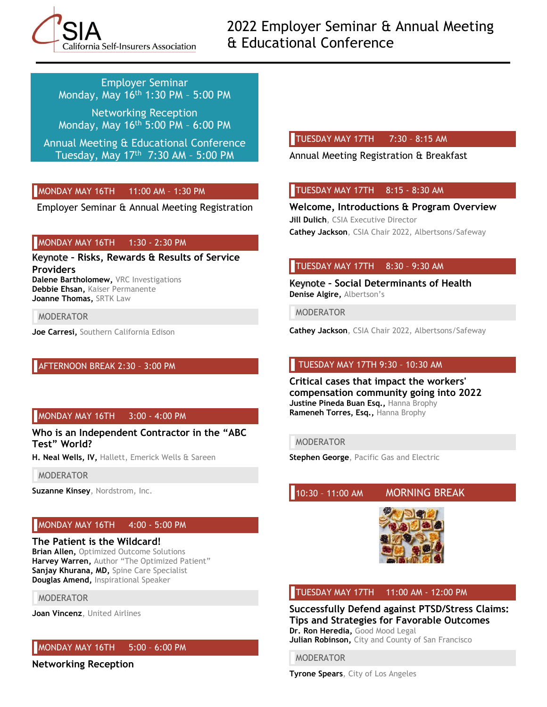

2022 Employer Seminar & Annual Meeting & Educational Conference

Employer Seminar Monday, May 16th 1:30 PM – 5:00 PM

Networking Reception Monday, May 16th 5:00 PM – 6:00 PM

Annual Meeting & Educational Conference Tuesday, May 17th 7:30 AM – 5:00 PM

## MONDAY MAY 16TH 11:00 AM – 1:30 PM

Employer Seminar & Annual Meeting Registration

#### MONDAY MAY 16TH 1:30 - 2:30 PM

Keynote **– Risks, Rewards & Results of Service Providers Dalene Bartholomew,** VRC Investigations **Debbie Ehsan,** Kaiser Permanente **Joanne Thomas,** SRTK Law

MODERATOR

**Joe Carresi,** Southern California Edison

## AFTERNOON BREAK 2:30 – 3:00 PM

#### MONDAY MAY 16TH 3:00 - 4:00 PM

**Who is an Independent Contractor in the "ABC Test" World?**

**H. Neal Wells, IV,** Hallett, Emerick Wells & Sareen

#### MODERATOR

**Suzanne Kinsey**, Nordstrom, Inc.

## MONDAY MAY 16TH 4:00 - 5:00 PM

#### **The Patient is the Wildcard!**

**Brian Allen, Optimized Outcome Solutions Harvey Warren,** Author "The Optimized Patient" **Sanjay Khurana, MD,** Spine Care Specialist **Douglas Amend,** Inspirational Speaker

#### MODERATOR

**Joan Vincenz**, United Airlines

#### MONDAY MAY 16TH 5:00 – 6:00 PM

**Networking Reception**

#### TUESDAY MAY 17TH 7:30 – 8:15 AM

Annual Meeting Registration & Breakfast

#### TUESDAY MAY 17TH 8:15 - 8:30 AM

**Welcome, Introductions & Program Overview Jill Dulich**, CSIA Executive Director **Cathey Jackson**, CSIA Chair 2022, Albertsons/Safeway

#### TUESDAY MAY 17TH 8:30 – 9:30 AM

Keynote **– Social Determinants of Health Denise Algire,** Albertson's

MODERATOR

**Cathey Jackson**, CSIA Chair 2022, Albertsons/Safeway

#### TUESDAY MAY 17TH 9:30 – 10:30 AM

**Critical cases that impact the workers' compensation community going into 2022 Justine Pineda Buan Esq.,** Hanna Brophy **Rameneh Torres, Esq.,** Hanna Brophy

#### MODERATOR

**Stephen George**, Pacific Gas and Electric

10:30 – 11:00 AM MORNING BREAK



#### TUESDAY MAY 17TH 11:00 AM - 12:00 PM

**Successfully Defend against PTSD/Stress Claims: Tips and Strategies for Favorable Outcomes Dr. Ron Heredia,** Good Mood Legal **Julian Robinson,** City and County of San Francisco

MODERATOR

**Tyrone Spears**, City of Los Angeles